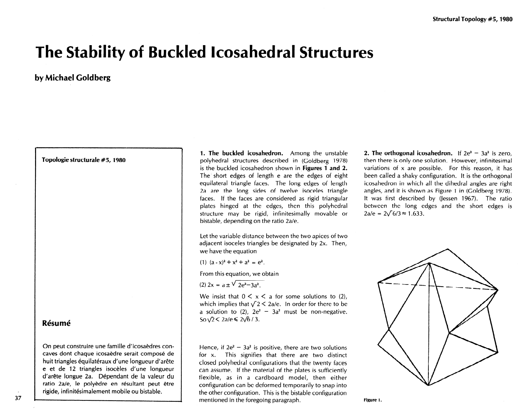## The Stability of Buckled Icosahedral Structures

## by Michael Goldberg

Topologie structurale #5, 1980

## **Résumé**

On peut construire une famille d'icosaedres concaves dont chaque icosaedre serait compose de huit triangles équilatéraux d'une longueur d'arête e et de 12 triangles isoceles d'une longueur d'arête longue 2a. Dépendant de la valeur du ratio 2a/e, le polyèdre en résultant peut être rigide, infinitésimalement mobile ou bistable.

1. The buckled icosahedron. Among the unstable polyhedral structures described in (Goldberg 1978) is the buckled icosahedron shown in Figures 1 and 2. The' short edges of length e are the edges of eight equilateral triangle faces. The long edges of length 2a are the long sides of twelve isoceles triangle faces. If the faces are considered as rigid triangular plates hinged at the edges, then this polyhedral structure may be rigid, infinitesimally movable or bistable, depending on the ratio 2a/e.

Let the variable distance between the two apices of two adjacent isoceles triangles be designated by 2x. Then, we have the equation

(1)  $(a - x)^2 + x^2 + a^2 = e^2$ .

From this equation, we obtain

(2)  $2x = a \pm \sqrt{2e^2 - 3a^2}$ .

We insist that  $0 \le x \le a$  for some solutions to (2), which implies that  $\sqrt{2}$  < 2a/e. In order for there to be a solution to (2),  $2e^2 - 3a^2$  must be non-negative. So  $\sqrt{2}$  < 2a/e  $\leq 2\sqrt{6}/3$ .

Hence, if  $2e^2 - 3a^2$  is positive, there are two solutions for x. This signifies that there are two distinct closed polyhedral configurations that the twenty faces can assume. If the material of the plates is sufficiently flexible, as in a cardboard model, then either configuration can be deformed temporarily to snap into the other configuration. This is the bistable configuration mentioned in the foregoing paragraph.

2. The orthogonal icosahedron. If  $2e^2 - 3a^2$  is zero, then there is only one solution. However, infinitesimal variations of  $x$  are possible. For this reason, it has been called a shaky configuration. It is the orthogonal icosahedron in which all the dihedral angles are right angles, and it is shown as Figure 1 in (Goldberg 1978). It was first described by (Jessen 1967). The ratio between the long edges and the short edges is  $2a/e = 2\sqrt{6}/3 \approx 1.633$ .